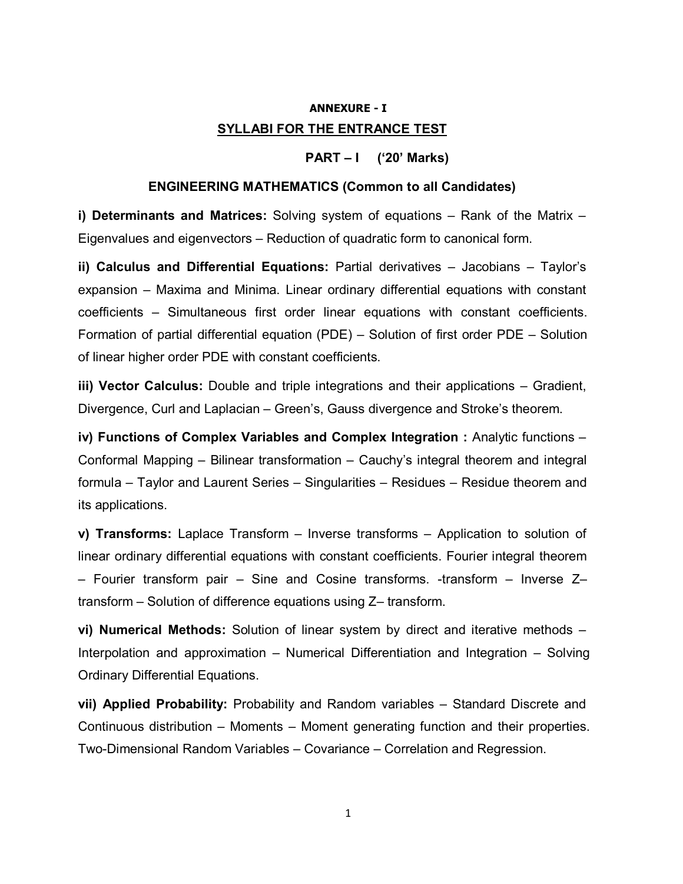# ANNEXURE - I SYLLABI FOR THE ENTRANCE TEST

# PART – I ('20' Marks)

## ENGINEERING MATHEMATICS (Common to all Candidates)

i) Determinants and Matrices: Solving system of equations  $-$  Rank of the Matrix  $-$ Eigenvalues and eigenvectors – Reduction of quadratic form to canonical form.

ii) Calculus and Differential Equations: Partial derivatives – Jacobians – Taylor's expansion – Maxima and Minima. Linear ordinary differential equations with constant coefficients – Simultaneous first order linear equations with constant coefficients. Formation of partial differential equation (PDE) – Solution of first order PDE – Solution of linear higher order PDE with constant coefficients.

iii) Vector Calculus: Double and triple integrations and their applications – Gradient, Divergence, Curl and Laplacian – Green's, Gauss divergence and Stroke's theorem.

iv) Functions of Complex Variables and Complex Integration : Analytic functions – Conformal Mapping – Bilinear transformation – Cauchy's integral theorem and integral formula – Taylor and Laurent Series – Singularities – Residues – Residue theorem and its applications.

v) Transforms: Laplace Transform – Inverse transforms – Application to solution of linear ordinary differential equations with constant coefficients. Fourier integral theorem – Fourier transform pair – Sine and Cosine transforms. -transform – Inverse Z– transform – Solution of difference equations using Z– transform.

vi) Numerical Methods: Solution of linear system by direct and iterative methods – Interpolation and approximation – Numerical Differentiation and Integration – Solving Ordinary Differential Equations.

vii) Applied Probability: Probability and Random variables – Standard Discrete and Continuous distribution – Moments – Moment generating function and their properties. Two-Dimensional Random Variables – Covariance – Correlation and Regression.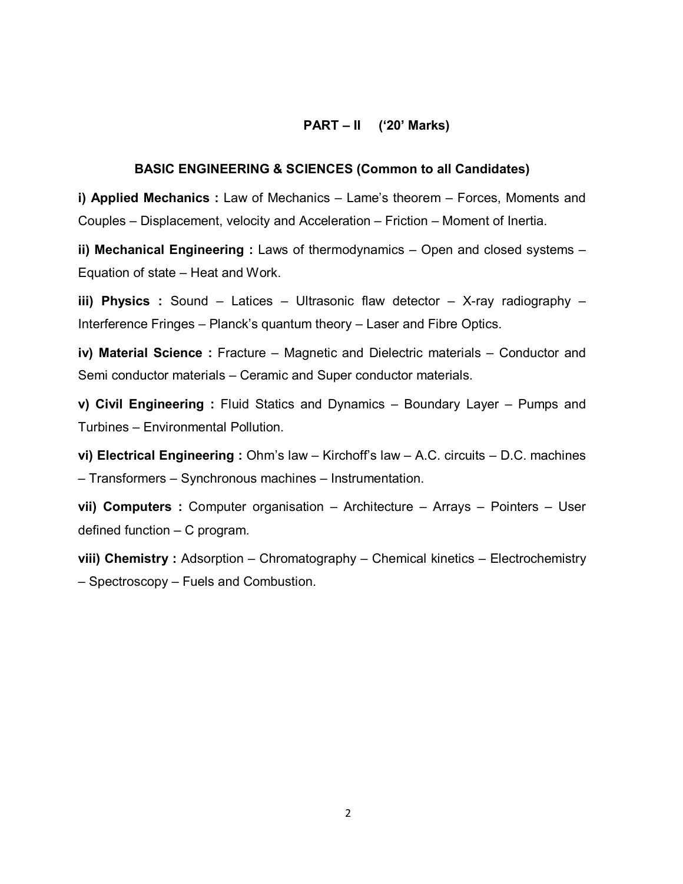# PART – II ('20' Marks)

#### BASIC ENGINEERING & SCIENCES (Common to all Candidates)

i) Applied Mechanics : Law of Mechanics – Lame's theorem – Forces, Moments and Couples – Displacement, velocity and Acceleration – Friction – Moment of Inertia.

ii) Mechanical Engineering : Laws of thermodynamics – Open and closed systems – Equation of state – Heat and Work.

iii) Physics : Sound - Latices - Ultrasonic flaw detector - X-ray radiography -Interference Fringes – Planck's quantum theory – Laser and Fibre Optics.

iv) Material Science : Fracture – Magnetic and Dielectric materials – Conductor and Semi conductor materials – Ceramic and Super conductor materials.

v) Civil Engineering : Fluid Statics and Dynamics – Boundary Layer – Pumps and Turbines – Environmental Pollution.

vi) Electrical Engineering : Ohm's law – Kirchoff's law – A.C. circuits – D.C. machines – Transformers – Synchronous machines – Instrumentation.

vii) Computers : Computer organisation – Architecture – Arrays – Pointers – User defined function – C program.

viii) Chemistry : Adsorption – Chromatography – Chemical kinetics – Electrochemistry – Spectroscopy – Fuels and Combustion.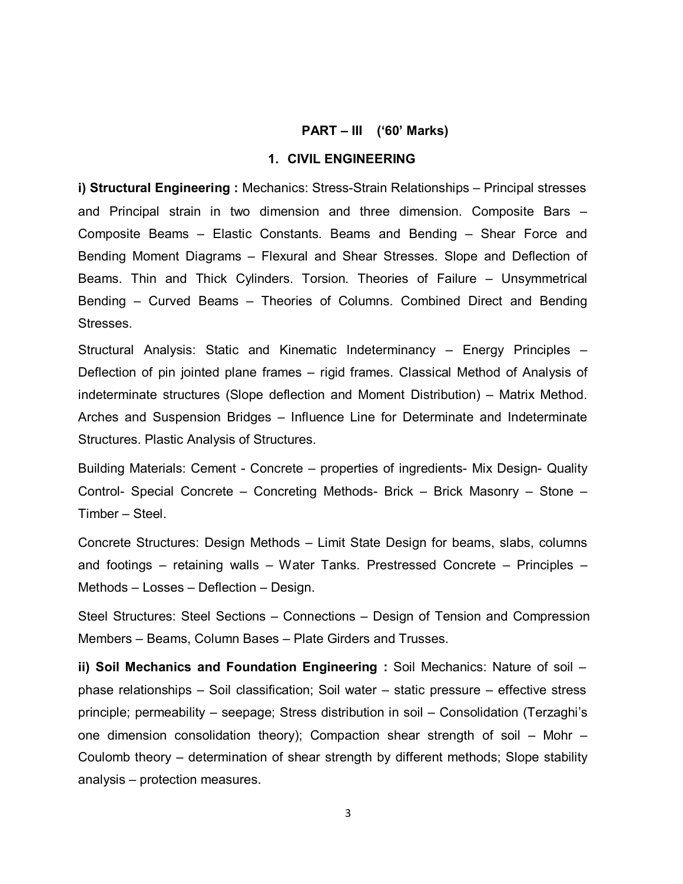#### PART – III ('60' Marks)

## 1. CIVIL ENGINEERING

i) Structural Engineering : Mechanics: Stress-Strain Relationships – Principal stresses and Principal strain in two dimension and three dimension. Composite Bars – Composite Beams – Elastic Constants. Beams and Bending – Shear Force and Bending Moment Diagrams – Flexural and Shear Stresses. Slope and Deflection of Beams. Thin and Thick Cylinders. Torsion. Theories of Failure – Unsymmetrical Bending – Curved Beams – Theories of Columns. Combined Direct and Bending Stresses.

Structural Analysis: Static and Kinematic Indeterminancy – Energy Principles – Deflection of pin jointed plane frames – rigid frames. Classical Method of Analysis of indeterminate structures (Slope deflection and Moment Distribution) – Matrix Method. Arches and Suspension Bridges – Influence Line for Determinate and Indeterminate Structures. Plastic Analysis of Structures.

Building Materials: Cement - Concrete – properties of ingredients- Mix Design- Quality Control- Special Concrete – Concreting Methods- Brick – Brick Masonry – Stone – Timber – Steel.

Concrete Structures: Design Methods – Limit State Design for beams, slabs, columns and footings – retaining walls – Water Tanks. Prestressed Concrete – Principles – Methods – Losses – Deflection – Design.

Steel Structures: Steel Sections – Connections – Design of Tension and Compression Members – Beams, Column Bases – Plate Girders and Trusses.

ii) Soil Mechanics and Foundation Engineering : Soil Mechanics: Nature of soil – phase relationships – Soil classification; Soil water – static pressure – effective stress principle; permeability – seepage; Stress distribution in soil – Consolidation (Terzaghi's one dimension consolidation theory); Compaction shear strength of soil – Mohr – Coulomb theory – determination of shear strength by different methods; Slope stability analysis – protection measures.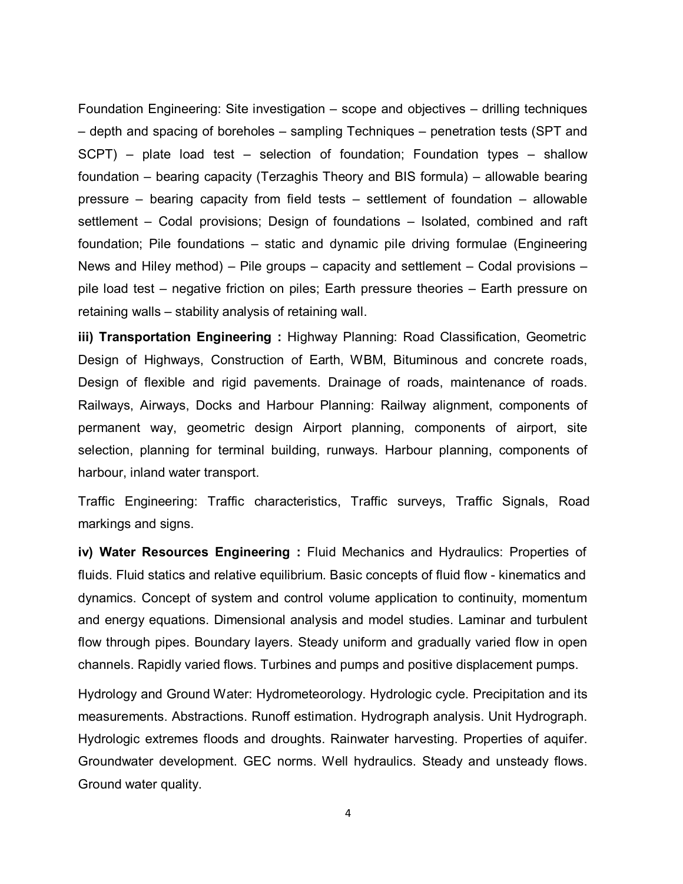Foundation Engineering: Site investigation – scope and objectives – drilling techniques – depth and spacing of boreholes – sampling Techniques – penetration tests (SPT and SCPT) – plate load test – selection of foundation; Foundation types – shallow foundation – bearing capacity (Terzaghis Theory and BIS formula) – allowable bearing pressure – bearing capacity from field tests – settlement of foundation – allowable settlement – Codal provisions; Design of foundations – Isolated, combined and raft foundation; Pile foundations – static and dynamic pile driving formulae (Engineering News and Hiley method) – Pile groups – capacity and settlement – Codal provisions – pile load test – negative friction on piles; Earth pressure theories – Earth pressure on retaining walls – stability analysis of retaining wall.

iii) Transportation Engineering : Highway Planning: Road Classification, Geometric Design of Highways, Construction of Earth, WBM, Bituminous and concrete roads, Design of flexible and rigid pavements. Drainage of roads, maintenance of roads. Railways, Airways, Docks and Harbour Planning: Railway alignment, components of permanent way, geometric design Airport planning, components of airport, site selection, planning for terminal building, runways. Harbour planning, components of harbour, inland water transport.

Traffic Engineering: Traffic characteristics, Traffic surveys, Traffic Signals, Road markings and signs.

iv) Water Resources Engineering : Fluid Mechanics and Hydraulics: Properties of fluids. Fluid statics and relative equilibrium. Basic concepts of fluid flow - kinematics and dynamics. Concept of system and control volume application to continuity, momentum and energy equations. Dimensional analysis and model studies. Laminar and turbulent flow through pipes. Boundary layers. Steady uniform and gradually varied flow in open channels. Rapidly varied flows. Turbines and pumps and positive displacement pumps.

Hydrology and Ground Water: Hydrometeorology. Hydrologic cycle. Precipitation and its measurements. Abstractions. Runoff estimation. Hydrograph analysis. Unit Hydrograph. Hydrologic extremes floods and droughts. Rainwater harvesting. Properties of aquifer. Groundwater development. GEC norms. Well hydraulics. Steady and unsteady flows. Ground water quality.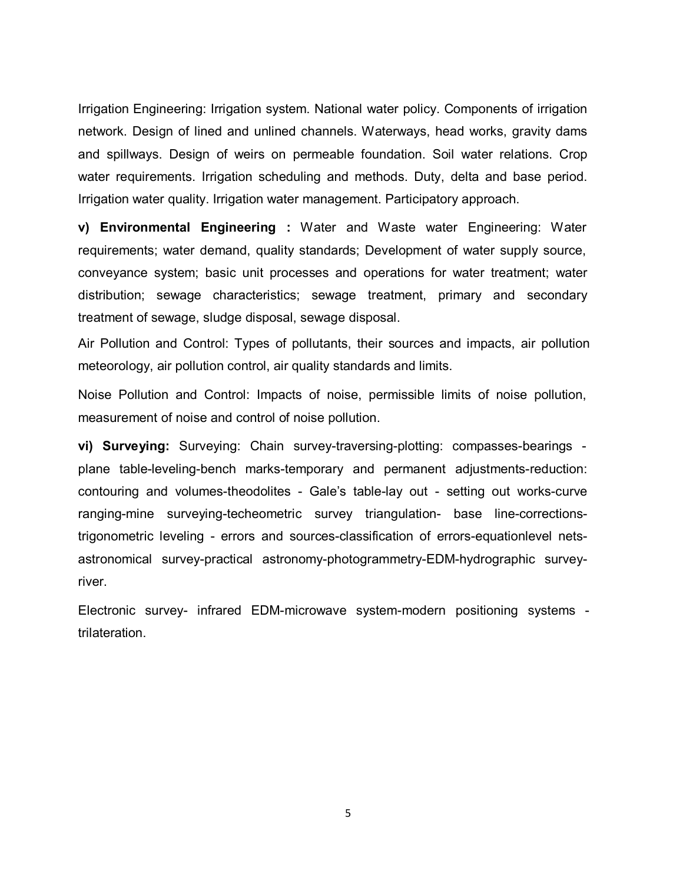Irrigation Engineering: Irrigation system. National water policy. Components of irrigation network. Design of lined and unlined channels. Waterways, head works, gravity dams and spillways. Design of weirs on permeable foundation. Soil water relations. Crop water requirements. Irrigation scheduling and methods. Duty, delta and base period. Irrigation water quality. Irrigation water management. Participatory approach.

v) Environmental Engineering : Water and Waste water Engineering: Water requirements; water demand, quality standards; Development of water supply source, conveyance system; basic unit processes and operations for water treatment; water distribution; sewage characteristics; sewage treatment, primary and secondary treatment of sewage, sludge disposal, sewage disposal.

Air Pollution and Control: Types of pollutants, their sources and impacts, air pollution meteorology, air pollution control, air quality standards and limits.

Noise Pollution and Control: Impacts of noise, permissible limits of noise pollution, measurement of noise and control of noise pollution.

vi) Surveying: Surveying: Chain survey-traversing-plotting: compasses-bearings plane table-leveling-bench marks-temporary and permanent adjustments-reduction: contouring and volumes-theodolites - Gale's table-lay out - setting out works-curve ranging-mine surveying-techeometric survey triangulation- base line-correctionstrigonometric leveling - errors and sources-classification of errors-equationlevel netsastronomical survey-practical astronomy-photogrammetry-EDM-hydrographic surveyriver.

Electronic survey- infrared EDM-microwave system-modern positioning systems trilateration.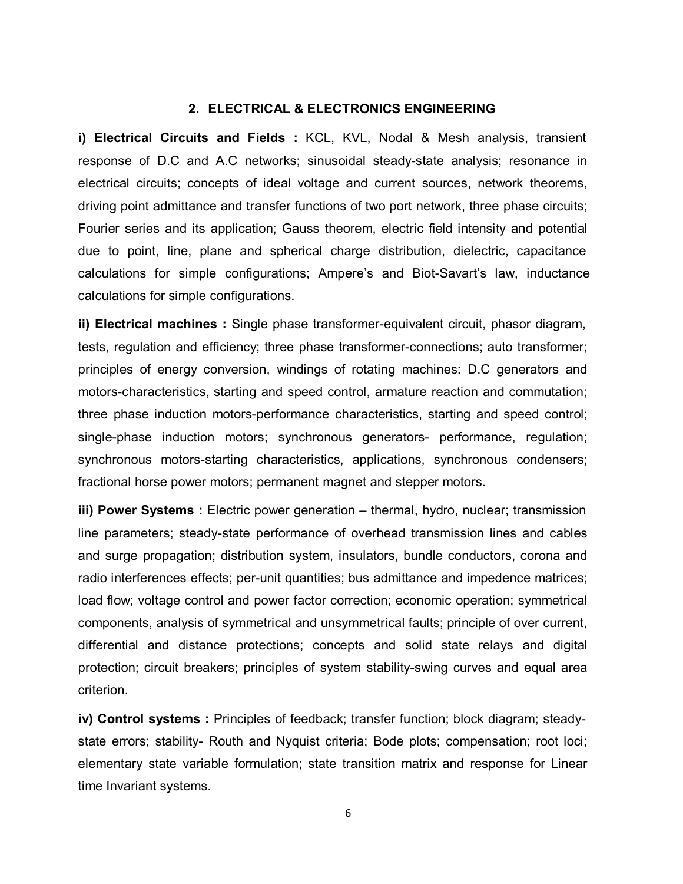#### 2. ELECTRICAL & ELECTRONICS ENGINEERING

i) Electrical Circuits and Fields : KCL, KVL, Nodal & Mesh analysis, transient response of D.C and A.C networks; sinusoidal steady-state analysis; resonance in electrical circuits; concepts of ideal voltage and current sources, network theorems, driving point admittance and transfer functions of two port network, three phase circuits; Fourier series and its application; Gauss theorem, electric field intensity and potential due to point, line, plane and spherical charge distribution, dielectric, capacitance calculations for simple configurations; Ampere's and Biot-Savart's law, inductance calculations for simple configurations.

ii) Electrical machines : Single phase transformer-equivalent circuit, phasor diagram, tests, regulation and efficiency; three phase transformer-connections; auto transformer; principles of energy conversion, windings of rotating machines: D.C generators and motors-characteristics, starting and speed control, armature reaction and commutation; three phase induction motors-performance characteristics, starting and speed control; single-phase induction motors; synchronous generators- performance, regulation; synchronous motors-starting characteristics, applications, synchronous condensers; fractional horse power motors; permanent magnet and stepper motors.

iii) Power Systems : Electric power generation – thermal, hydro, nuclear; transmission line parameters; steady-state performance of overhead transmission lines and cables and surge propagation; distribution system, insulators, bundle conductors, corona and radio interferences effects; per-unit quantities; bus admittance and impedence matrices; load flow; voltage control and power factor correction; economic operation; symmetrical components, analysis of symmetrical and unsymmetrical faults; principle of over current, differential and distance protections; concepts and solid state relays and digital protection; circuit breakers; principles of system stability-swing curves and equal area criterion.

iv) Control systems : Principles of feedback; transfer function; block diagram; steadystate errors; stability- Routh and Nyquist criteria; Bode plots; compensation; root loci; elementary state variable formulation; state transition matrix and response for Linear time Invariant systems.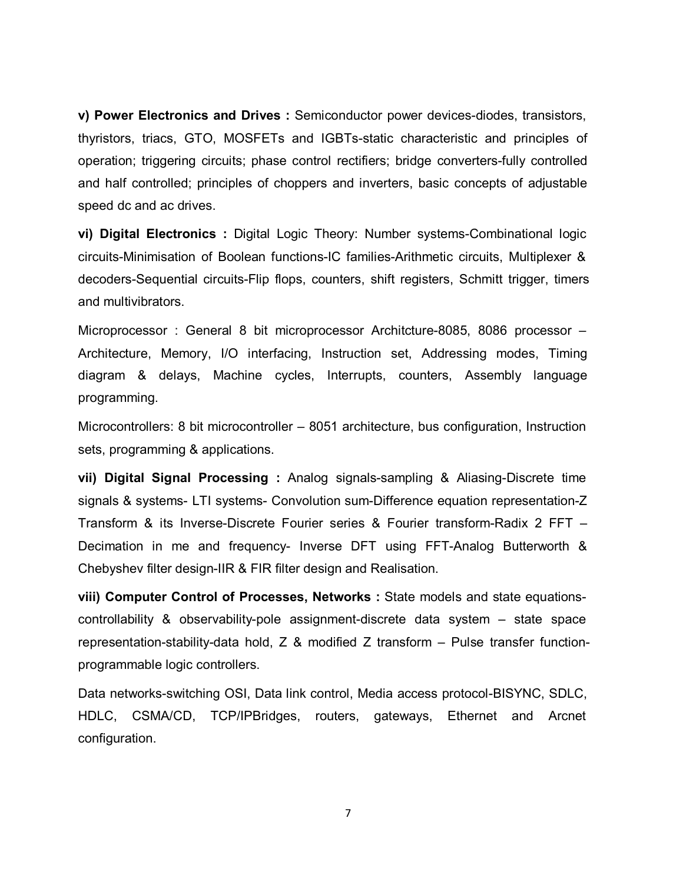v) Power Electronics and Drives : Semiconductor power devices-diodes, transistors, thyristors, triacs, GTO, MOSFETs and IGBTs-static characteristic and principles of operation; triggering circuits; phase control rectifiers; bridge converters-fully controlled and half controlled; principles of choppers and inverters, basic concepts of adjustable speed dc and ac drives.

vi) Digital Electronics : Digital Logic Theory: Number systems-Combinational logic circuits-Minimisation of Boolean functions-IC families-Arithmetic circuits, Multiplexer & decoders-Sequential circuits-Flip flops, counters, shift registers, Schmitt trigger, timers and multivibrators.

Microprocessor : General 8 bit microprocessor Architcture-8085, 8086 processor – Architecture, Memory, I/O interfacing, Instruction set, Addressing modes, Timing diagram & delays, Machine cycles, Interrupts, counters, Assembly language programming.

Microcontrollers: 8 bit microcontroller – 8051 architecture, bus configuration, Instruction sets, programming & applications.

vii) Digital Signal Processing : Analog signals-sampling & Aliasing-Discrete time signals & systems- LTI systems- Convolution sum-Difference equation representation-Z Transform & its Inverse-Discrete Fourier series & Fourier transform-Radix 2 FFT – Decimation in me and frequency- Inverse DFT using FFT-Analog Butterworth & Chebyshev filter design-IIR & FIR filter design and Realisation.

viii) Computer Control of Processes, Networks : State models and state equationscontrollability & observability-pole assignment-discrete data system – state space representation-stability-data hold, Z & modified Z transform – Pulse transfer functionprogrammable logic controllers.

Data networks-switching OSI, Data link control, Media access protocol-BISYNC, SDLC, HDLC, CSMA/CD, TCP/IPBridges, routers, gateways, Ethernet and Arcnet configuration.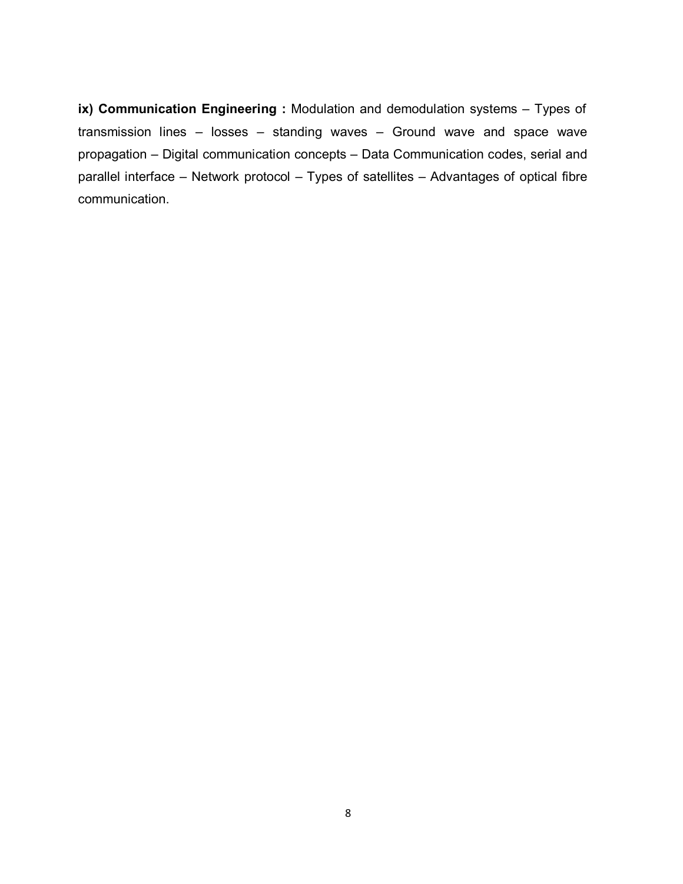ix) Communication Engineering : Modulation and demodulation systems – Types of transmission lines – losses – standing waves – Ground wave and space wave propagation – Digital communication concepts – Data Communication codes, serial and parallel interface – Network protocol – Types of satellites – Advantages of optical fibre communication.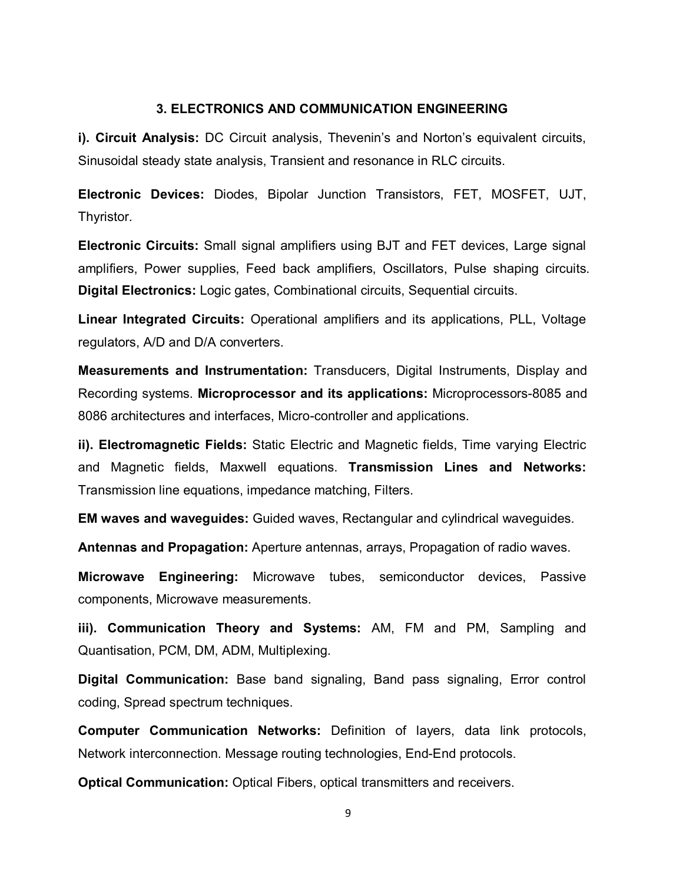#### 3. ELECTRONICS AND COMMUNICATION ENGINEERING

i). Circuit Analysis: DC Circuit analysis, Thevenin's and Norton's equivalent circuits, Sinusoidal steady state analysis, Transient and resonance in RLC circuits.

Electronic Devices: Diodes, Bipolar Junction Transistors, FET, MOSFET, UJT, Thyristor.

Electronic Circuits: Small signal amplifiers using BJT and FET devices, Large signal amplifiers, Power supplies, Feed back amplifiers, Oscillators, Pulse shaping circuits. Digital Electronics: Logic gates, Combinational circuits, Sequential circuits.

Linear Integrated Circuits: Operational amplifiers and its applications, PLL, Voltage regulators, A/D and D/A converters.

Measurements and Instrumentation: Transducers, Digital Instruments, Display and Recording systems. Microprocessor and its applications: Microprocessors-8085 and 8086 architectures and interfaces, Micro-controller and applications.

ii). Electromagnetic Fields: Static Electric and Magnetic fields, Time varying Electric and Magnetic fields, Maxwell equations. Transmission Lines and Networks: Transmission line equations, impedance matching, Filters.

EM waves and waveguides: Guided waves, Rectangular and cylindrical waveguides.

Antennas and Propagation: Aperture antennas, arrays, Propagation of radio waves.

Microwave Engineering: Microwave tubes, semiconductor devices, Passive components, Microwave measurements.

iii). Communication Theory and Systems: AM, FM and PM, Sampling and Quantisation, PCM, DM, ADM, Multiplexing.

Digital Communication: Base band signaling, Band pass signaling, Error control coding, Spread spectrum techniques.

Computer Communication Networks: Definition of layers, data link protocols, Network interconnection. Message routing technologies, End-End protocols.

Optical Communication: Optical Fibers, optical transmitters and receivers.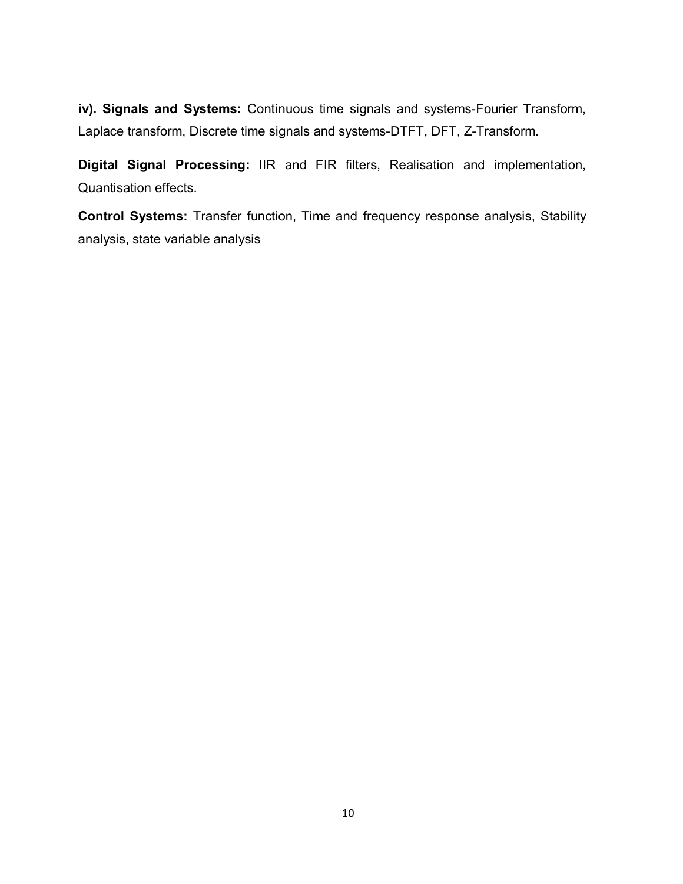iv). Signals and Systems: Continuous time signals and systems-Fourier Transform, Laplace transform, Discrete time signals and systems-DTFT, DFT, Z-Transform.

Digital Signal Processing: IIR and FIR filters, Realisation and implementation, Quantisation effects.

Control Systems: Transfer function, Time and frequency response analysis, Stability analysis, state variable analysis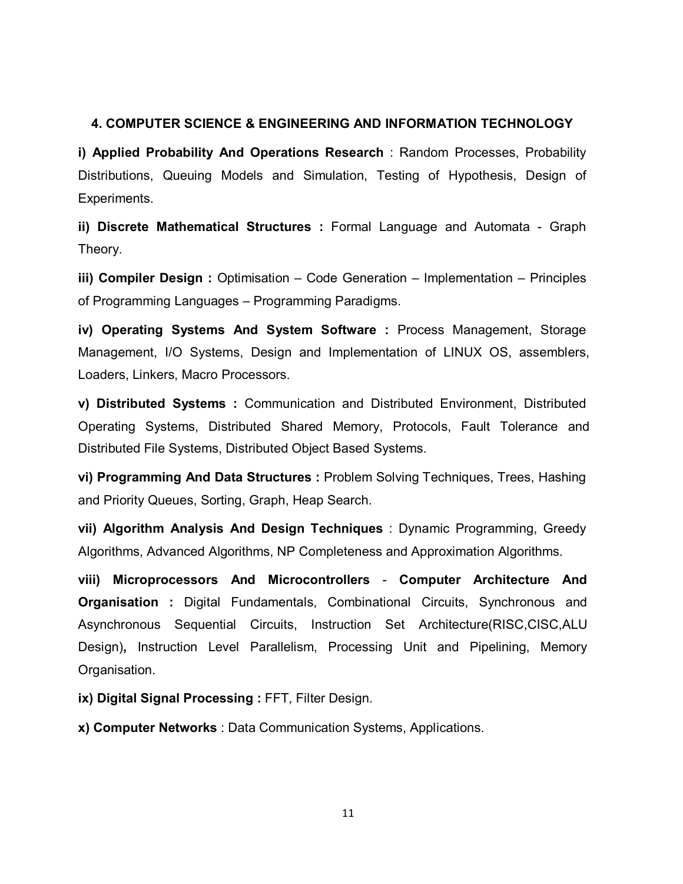# 4. COMPUTER SCIENCE & ENGINEERING AND INFORMATION TECHNOLOGY

i) Applied Probability And Operations Research : Random Processes, Probability Distributions, Queuing Models and Simulation, Testing of Hypothesis, Design of Experiments.

ii) Discrete Mathematical Structures : Formal Language and Automata - Graph Theory.

iii) Compiler Design : Optimisation – Code Generation – Implementation – Principles of Programming Languages – Programming Paradigms.

iv) Operating Systems And System Software : Process Management, Storage Management, I/O Systems, Design and Implementation of LINUX OS, assemblers, Loaders, Linkers, Macro Processors.

v) Distributed Systems : Communication and Distributed Environment, Distributed Operating Systems, Distributed Shared Memory, Protocols, Fault Tolerance and Distributed File Systems, Distributed Object Based Systems.

vi) Programming And Data Structures : Problem Solving Techniques, Trees, Hashing and Priority Queues, Sorting, Graph, Heap Search.

vii) Algorithm Analysis And Design Techniques : Dynamic Programming, Greedy Algorithms, Advanced Algorithms, NP Completeness and Approximation Algorithms.

viii) Microprocessors And Microcontrollers - Computer Architecture And **Organisation** : Digital Fundamentals, Combinational Circuits, Synchronous and Asynchronous Sequential Circuits, Instruction Set Architecture(RISC,CISC,ALU Design), Instruction Level Parallelism, Processing Unit and Pipelining, Memory Organisation.

ix) Digital Signal Processing : FFT, Filter Design.

x) Computer Networks : Data Communication Systems, Applications.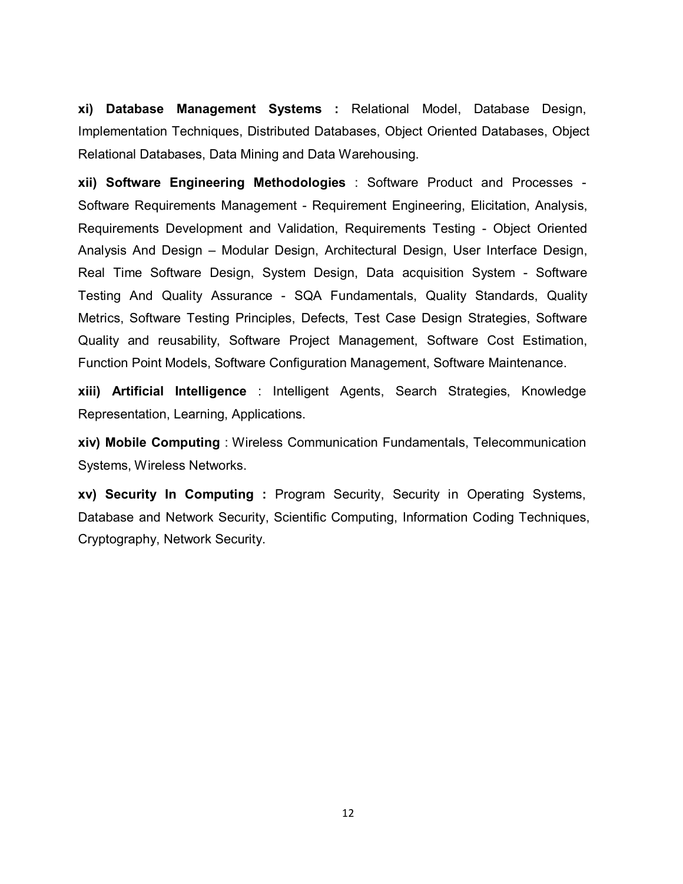xi) Database Management Systems : Relational Model, Database Design, Implementation Techniques, Distributed Databases, Object Oriented Databases, Object Relational Databases, Data Mining and Data Warehousing.

xii) Software Engineering Methodologies : Software Product and Processes - Software Requirements Management - Requirement Engineering, Elicitation, Analysis, Requirements Development and Validation, Requirements Testing - Object Oriented Analysis And Design – Modular Design, Architectural Design, User Interface Design, Real Time Software Design, System Design, Data acquisition System - Software Testing And Quality Assurance - SQA Fundamentals, Quality Standards, Quality Metrics, Software Testing Principles, Defects, Test Case Design Strategies, Software Quality and reusability, Software Project Management, Software Cost Estimation, Function Point Models, Software Configuration Management, Software Maintenance.

xiii) Artificial Intelligence : Intelligent Agents, Search Strategies, Knowledge Representation, Learning, Applications.

xiv) Mobile Computing : Wireless Communication Fundamentals, Telecommunication Systems, Wireless Networks.

xv) Security In Computing : Program Security, Security in Operating Systems, Database and Network Security, Scientific Computing, Information Coding Techniques, Cryptography, Network Security.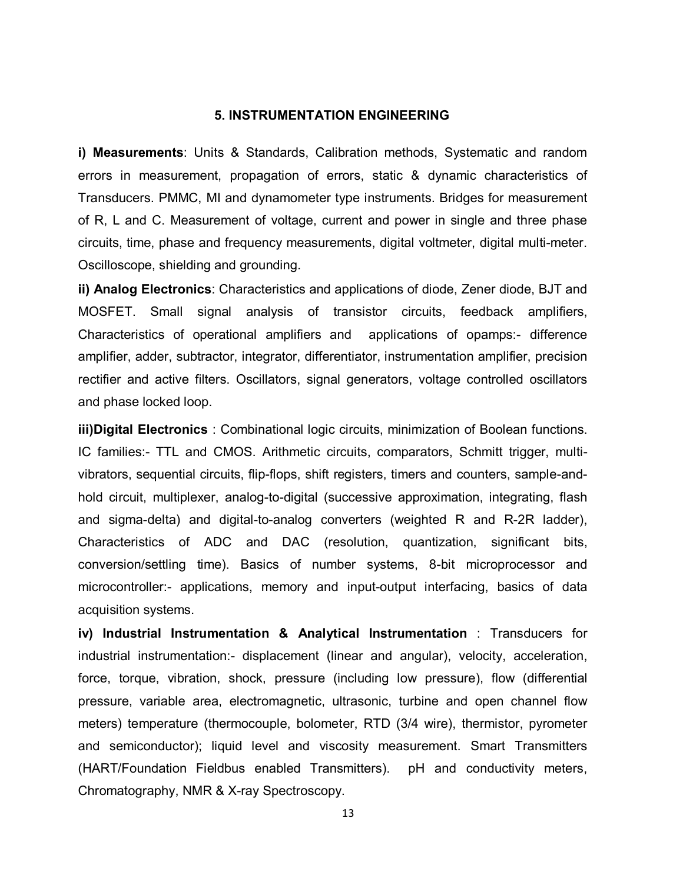# 5. INSTRUMENTATION ENGINEERING

i) Measurements: Units & Standards, Calibration methods, Systematic and random errors in measurement, propagation of errors, static & dynamic characteristics of Transducers. PMMC, MI and dynamometer type instruments. Bridges for measurement of R, L and C. Measurement of voltage, current and power in single and three phase circuits, time, phase and frequency measurements, digital voltmeter, digital multi-meter. Oscilloscope, shielding and grounding.

ii) Analog Electronics: Characteristics and applications of diode, Zener diode, BJT and MOSFET. Small signal analysis of transistor circuits, feedback amplifiers, Characteristics of operational amplifiers and applications of opamps:- difference amplifier, adder, subtractor, integrator, differentiator, instrumentation amplifier, precision rectifier and active filters. Oscillators, signal generators, voltage controlled oscillators and phase locked loop.

iii)Digital Electronics : Combinational logic circuits, minimization of Boolean functions. IC families:- TTL and CMOS. Arithmetic circuits, comparators, Schmitt trigger, multivibrators, sequential circuits, flip-flops, shift registers, timers and counters, sample-andhold circuit, multiplexer, analog-to-digital (successive approximation, integrating, flash and sigma-delta) and digital-to-analog converters (weighted R and R-2R ladder), Characteristics of ADC and DAC (resolution, quantization, significant bits, conversion/settling time). Basics of number systems, 8-bit microprocessor and microcontroller:- applications, memory and input-output interfacing, basics of data acquisition systems.

iv) Industrial Instrumentation & Analytical Instrumentation : Transducers for industrial instrumentation:- displacement (linear and angular), velocity, acceleration, force, torque, vibration, shock, pressure (including low pressure), flow (differential pressure, variable area, electromagnetic, ultrasonic, turbine and open channel flow meters) temperature (thermocouple, bolometer, RTD (3/4 wire), thermistor, pyrometer and semiconductor); liquid level and viscosity measurement. Smart Transmitters (HART/Foundation Fieldbus enabled Transmitters). pH and conductivity meters, Chromatography, NMR & X-ray Spectroscopy.